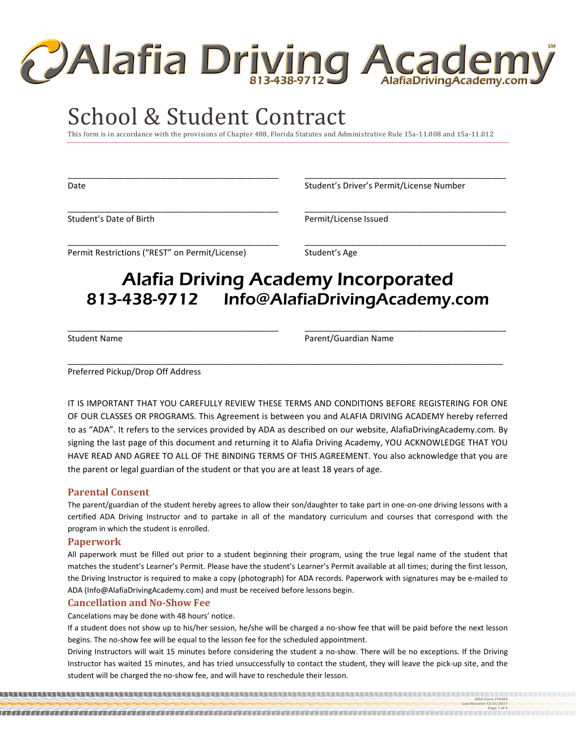

# School & Student Contract

This form is in accordance with the provisions of Chapter 488, Florida Statutes and Administrative Rule 15a-11.008 and 15a-11.012

\_\_\_\_\_\_\_\_\_\_\_\_\_\_\_\_\_\_\_\_\_\_\_\_\_\_\_\_\_\_\_\_\_\_\_\_\_\_\_\_\_\_\_\_\_ \_\_\_\_\_\_\_\_\_\_\_\_\_\_\_\_\_\_\_\_\_\_\_\_\_\_\_\_\_\_\_\_\_\_\_\_\_\_\_\_\_\_\_

\_\_\_\_\_\_\_\_\_\_\_\_\_\_\_\_\_\_\_\_\_\_\_\_\_\_\_\_\_\_\_\_\_\_\_\_\_\_\_\_\_\_\_\_\_ \_\_\_\_\_\_\_\_\_\_\_\_\_\_\_\_\_\_\_\_\_\_\_\_\_\_\_\_\_\_\_\_\_\_\_\_\_\_\_\_\_\_\_

\_\_\_\_\_\_\_\_\_\_\_\_\_\_\_\_\_\_\_\_\_\_\_\_\_\_\_\_\_\_\_\_\_\_\_\_\_\_\_\_\_\_\_\_\_ \_\_\_\_\_\_\_\_\_\_\_\_\_\_\_\_\_\_\_\_\_\_\_\_\_\_\_\_\_\_\_\_\_\_\_\_\_\_\_\_\_\_\_

Date **Student's Driver's Permit/License Number** Student's Driver's Permit/License Number

Student's Date of Birth **Permit/License Issued** Permit/License Issued

Permit Restrictions ("REST" on Permit/License) Student's Age

# Alafia Driving Academy Incorporated 813-438-9712 [Info@AlafiaDrivingAcademy.com](mailto:Info@AlafiaDrivingAcademy.com)

\_\_\_\_\_\_\_\_\_\_\_\_\_\_\_\_\_\_\_\_\_\_\_\_\_\_\_\_\_\_\_\_\_\_\_\_\_\_\_\_\_\_\_\_\_ \_\_\_\_\_\_\_\_\_\_\_\_\_\_\_\_\_\_\_\_\_\_\_\_\_\_\_\_\_\_\_\_\_\_\_\_\_\_\_\_\_\_\_

\_\_\_\_\_\_\_\_\_\_\_\_\_\_\_\_\_\_\_\_\_\_\_\_\_\_\_\_\_\_\_\_\_\_\_\_\_\_\_\_\_\_\_\_\_\_\_\_\_\_\_\_\_\_\_\_\_\_\_\_\_\_\_\_\_\_\_\_\_\_\_\_\_\_\_\_\_\_\_\_\_\_\_\_\_\_\_\_\_\_\_\_\_

Student Name **Parent/Guardian Name** 

Preferred Pickup/Drop Off Address

IT IS IMPORTANT THAT YOU CAREFULLY REVIEW THESE TERMS AND CONDITIONS BEFORE REGISTERING FOR ONE OF OUR CLASSES OR PROGRAMS. This Agreement is between you and ALAFIA DRIVING ACADEMY hereby referred to as "ADA". It refers to the services provided by ADA as described on our website, AlafiaDrivingAcademy.com. By signing the last page of this document and returning it to Alafia Driving Academy, YOU ACKNOWLEDGE THAT YOU HAVE READ AND AGREE TO ALL OF THE BINDING TERMS OF THIS AGREEMENT. You also acknowledge that you are the parent or legal guardian of the student or that you are at least 18 years of age.

# **Parental Consent**

The parent/guardian of the student hereby agrees to allow their son/daughter to take part in one-on-one driving lessons with a certified ADA Driving Instructor and to partake in all of the mandatory curriculum and courses that correspond with the program in which the student is enrolled.

# **Paperwork**

All paperwork must be filled out prior to a student beginning their program, using the true legal name of the student that matches the student's Learner's Permit. Please have the student's Learner's Permit available at all times; during the first lesson, the Driving Instructor is required to make a copy (photograph) for ADA records. Paperwork with signatures may be e-mailed to ADA (Info@AlafiaDrivingAcademy.com) and must be received before lessons begin.

# **Cancellation and No-Show Fee**

Cancelations may be done with 48 hours' notice.

If a student does not show up to his/her session, he/she will be charged a no-show fee that will be paid before the next lesson begins. The no-show fee will be equal to the lesson fee for the scheduled appointment.

Driving Instructors will wait 15 minutes before considering the student a no-show. There will be no exceptions. If the Driving Instructor has waited 15 minutes, and has tried unsuccessfully to contact the student, they will leave the pick-up site, and the student will be charged the no-show fee, and will have to reschedule their lesson.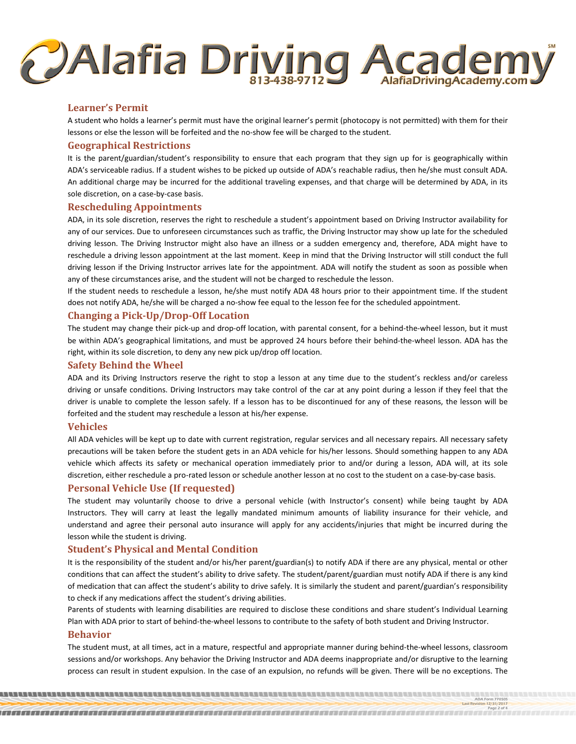# **CAlafia Driving Acader** AlafiaDrivingAcademy.com

# **Learner's Permit**

A student who holds a learner's permit must have the original learner's permit (photocopy is not permitted) with them for their lessons or else the lesson will be forfeited and the no-show fee will be charged to the student.

# **Geographical Restrictions**

It is the parent/guardian/student's responsibility to ensure that each program that they sign up for is geographically within ADA's serviceable radius. If a student wishes to be picked up outside of ADA's reachable radius, then he/she must consult ADA. An additional charge may be incurred for the additional traveling expenses, and that charge will be determined by ADA, in its sole discretion, on a case-by-case basis.

# **Rescheduling Appointments**

ADA, in its sole discretion, reserves the right to reschedule a student's appointment based on Driving Instructor availability for any of our services. Due to unforeseen circumstances such as traffic, the Driving Instructor may show up late for the scheduled driving lesson. The Driving Instructor might also have an illness or a sudden emergency and, therefore, ADA might have to reschedule a driving lesson appointment at the last moment. Keep in mind that the Driving Instructor will still conduct the full driving lesson if the Driving Instructor arrives late for the appointment. ADA will notify the student as soon as possible when any of these circumstances arise, and the student will not be charged to reschedule the lesson.

If the student needs to reschedule a lesson, he/she must notify ADA 48 hours prior to their appointment time. If the student does not notify ADA, he/she will be charged a no-show fee equal to the lesson fee for the scheduled appointment.

# **Changing a Pick-Up/Drop-Off Location**

The student may change their pick-up and drop-off location, with parental consent, for a behind-the-wheel lesson, but it must be within ADA's geographical limitations, and must be approved 24 hours before their behind-the-wheel lesson. ADA has the right, within its sole discretion, to deny any new pick up/drop off location.

# **Safety Behind the Wheel**

ADA and its Driving Instructors reserve the right to stop a lesson at any time due to the student's reckless and/or careless driving or unsafe conditions. Driving Instructors may take control of the car at any point during a lesson if they feel that the driver is unable to complete the lesson safely. If a lesson has to be discontinued for any of these reasons, the lesson will be forfeited and the student may reschedule a lesson at his/her expense.

# **Vehicles**

All ADA vehicles will be kept up to date with current registration, regular services and all necessary repairs. All necessary safety precautions will be taken before the student gets in an ADA vehicle for his/her lessons. Should something happen to any ADA vehicle which affects its safety or mechanical operation immediately prior to and/or during a lesson, ADA will, at its sole discretion, either reschedule a pro-rated lesson or schedule another lesson at no cost to the student on a case-by-case basis.

# **Personal Vehicle Use (If requested)**

The student may voluntarily choose to drive a personal vehicle (with Instructor's consent) while being taught by ADA Instructors. They will carry at least the legally mandated minimum amounts of liability insurance for their vehicle, and understand and agree their personal auto insurance will apply for any accidents/injuries that might be incurred during the lesson while the student is driving.

# **Student's Physical and Mental Condition**

It is the responsibility of the student and/or his/her parent/guardian(s) to notify ADA if there are any physical, mental or other conditions that can affect the student's ability to drive safety. The student/parent/guardian must notify ADA if there is any kind of medication that can affect the student's ability to drive safely. It is similarly the student and parent/guardian's responsibility to check if any medications affect the student's driving abilities.

Parents of students with learning disabilities are required to disclose these conditions and share student's Individual Learning Plan with ADA prior to start of behind-the-wheel lessons to contribute to the safety of both student and Driving Instructor.

# **Behavior**

The student must, at all times, act in a mature, respectful and appropriate manner during behind-the-wheel lessons, classroom sessions and/or workshops. Any behavior the Driving Instructor and ADA deems inappropriate and/or disruptive to the learning process can result in student expulsion. In the case of an expulsion, no refunds will be given. There will be no exceptions. The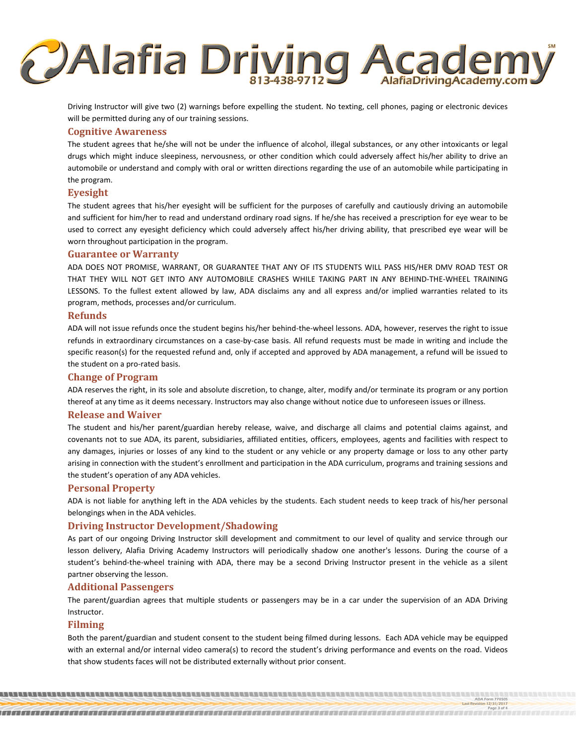

Driving Instructor will give two (2) warnings before expelling the student. No texting, cell phones, paging or electronic devices will be permitted during any of our training sessions.

#### **Cognitive Awareness**

The student agrees that he/she will not be under the influence of alcohol, illegal substances, or any other intoxicants or legal drugs which might induce sleepiness, nervousness, or other condition which could adversely affect his/her ability to drive an automobile or understand and comply with oral or written directions regarding the use of an automobile while participating in the program.

#### **Eyesight**

The student agrees that his/her eyesight will be sufficient for the purposes of carefully and cautiously driving an automobile and sufficient for him/her to read and understand ordinary road signs. If he/she has received a prescription for eye wear to be used to correct any eyesight deficiency which could adversely affect his/her driving ability, that prescribed eye wear will be worn throughout participation in the program.

#### **Guarantee or Warranty**

ADA DOES NOT PROMISE, WARRANT, OR GUARANTEE THAT ANY OF ITS STUDENTS WILL PASS HIS/HER DMV ROAD TEST OR THAT THEY WILL NOT GET INTO ANY AUTOMOBILE CRASHES WHILE TAKING PART IN ANY BEHIND-THE-WHEEL TRAINING LESSONS. To the fullest extent allowed by law, ADA disclaims any and all express and/or implied warranties related to its program, methods, processes and/or curriculum.

#### **Refunds**

ADA will not issue refunds once the student begins his/her behind-the-wheel lessons. ADA, however, reserves the right to issue refunds in extraordinary circumstances on a case-by-case basis. All refund requests must be made in writing and include the specific reason(s) for the requested refund and, only if accepted and approved by ADA management, a refund will be issued to the student on a pro-rated basis.

#### **Change of Program**

ADA reserves the right, in its sole and absolute discretion, to change, alter, modify and/or terminate its program or any portion thereof at any time as it deems necessary. Instructors may also change without notice due to unforeseen issues or illness.

#### **Release and Waiver**

The student and his/her parent/guardian hereby release, waive, and discharge all claims and potential claims against, and covenants not to sue ADA, its parent, subsidiaries, affiliated entities, officers, employees, agents and facilities with respect to any damages, injuries or losses of any kind to the student or any vehicle or any property damage or loss to any other party arising in connection with the student's enrollment and participation in the ADA curriculum, programs and training sessions and the student's operation of any ADA vehicles.

#### **Personal Property**

ADA is not liable for anything left in the ADA vehicles by the students. Each student needs to keep track of his/her personal belongings when in the ADA vehicles.

### **Driving Instructor Development/Shadowing**

As part of our ongoing Driving Instructor skill development and commitment to our level of quality and service through our lesson delivery, Alafia Driving Academy Instructors will periodically shadow one another's lessons. During the course of a student's behind-the-wheel training with ADA, there may be a second Driving Instructor present in the vehicle as a silent partner observing the lesson.

#### **Additional Passengers**

The parent/guardian agrees that multiple students or passengers may be in a car under the supervision of an ADA Driving Instructor.

#### **Filming**

Both the parent/guardian and student consent to the student being filmed during lessons. Each ADA vehicle may be equipped with an external and/or internal video camera(s) to record the student's driving performance and events on the road. Videos that show students faces will not be distributed externally without prior consent.